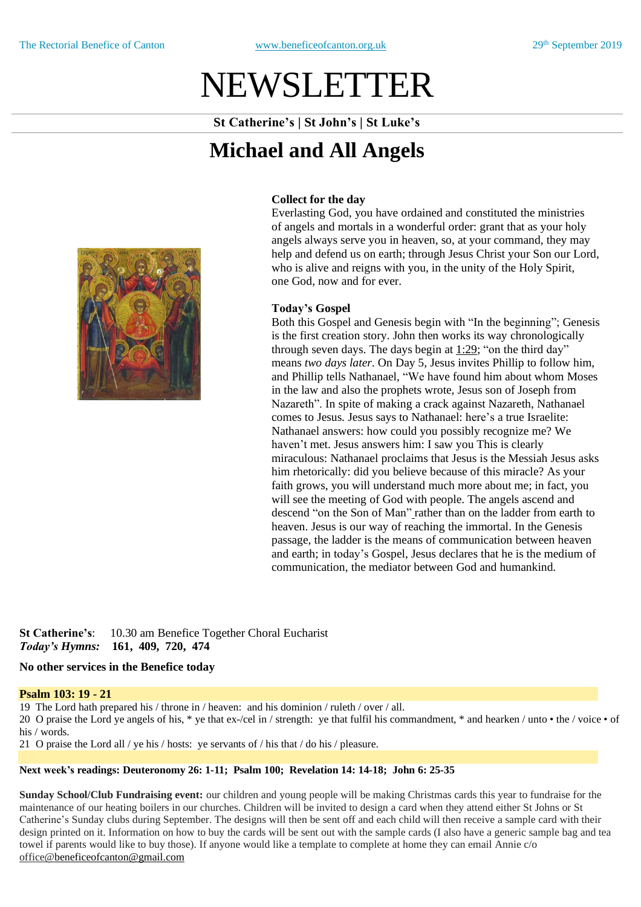# NEWSLETTER

**St Catherine's | St John's | St Luke's**

## **Michael and All Angels**



#### **Collect for the day**

Everlasting God, you have ordained and constituted the ministries of angels and mortals in a wonderful order: grant that as your holy angels always serve you in heaven, so, at your command, they may help and defend us on earth; through Jesus Christ your Son our Lord, who is alive and reigns with you, in the unity of the Holy Spirit, one God, now and for ever.

#### **Today's Gospel**

Both this Gospel and Genesis begin with "In the beginning"; Genesis is the first creation story. John then works its way chronologically through seven days. The days begin at [1:29;](http://bible.crosswalk.com/OnlineStudyBible/bible.cgi?version=nrsa&word=John+1%3A29) "on the third day" means *two days later*. On Day 5, Jesus invites Phillip to follow him, and Phillip tells Nathanael, "We have found him about whom Moses in the law and also the prophets wrote, Jesus son of Joseph from Nazareth". In spite of making a crack against Nazareth, Nathanael comes to Jesus. Jesus says to Nathanael: here's a true Israelite: Nathanael answers: how could you possibly recognize me? We haven't met. Jesus answers him: I saw you This is clearly miraculous: Nathanael proclaims that Jesus is the Messiah Jesus asks him rhetorically: did you believe because of this miracle? As your faith grows, you will understand much more about me; in fact, you will see the meeting of God with people. The angels ascend and descend "on the Son of Man["](http://bible.crosswalk.com/OnlineStudyBible/bible.cgi?version=nrsa&word=John+1%3A51) rather than on the ladder from earth to heaven. Jesus is our way of reaching the immortal. In the Genesis passage, the ladder is the means of communication between heaven and earth; in today's Gospel, Jesus declares that he is the medium of communication, the mediator between God and humankind.

**St Catherine's**: 10.30 am Benefice Together Choral Eucharist *Today's Hymns:* **161, 409, 720, 474**

#### **No other services in the Benefice today**

#### **Psalm 103: 19 - 21**

19 The Lord hath prepared his / throne in / heaven: and his dominion / ruleth / over / all.

20 O praise the Lord ye angels of his, \* ye that ex-/cel in / strength: ye that fulfil his commandment, \* and hearken / unto • the / voice • of his / words.

21 O praise the Lord all / ye his / hosts: ye servants of / his that / do his / pleasure.

#### **Next week's readings: Deuteronomy 26: 1-11; Psalm 100; Revelation 14: 14-18; John 6: 25-35**

**Sunday School/Club Fundraising event:** our children and young people will be making Christmas cards this year to fundraise for the maintenance of our heating boilers in our churches. Children will be invited to design a card when they attend either St Johns or St Catherine's Sunday clubs during September. The designs will then be sent off and each child will then receive a sample card with their design printed on it. Information on how to buy the cards will be sent out with the sample cards (I also have a generic sample bag and tea towel if parents would like to buy those). If anyone would like a template to complete at home they can email Annie c/o office[@beneficeofcanton@gmail.com](mailto:beneficeofcanton@gmail.com)